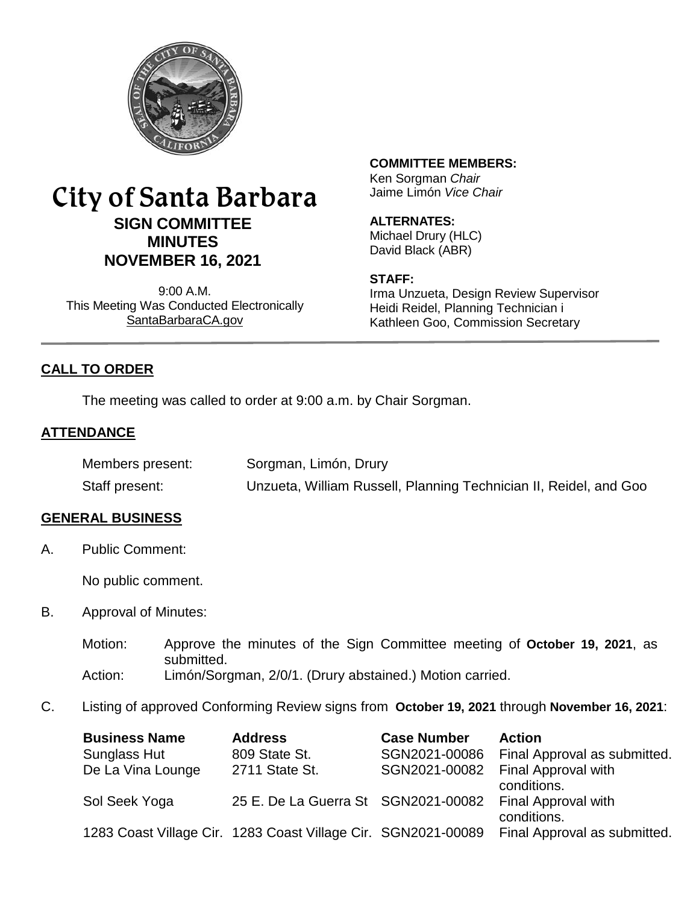

## City of Santa Barbara **SIGN COMMITTEE MINUTES NOVEMBER 16, 2021**

9:00 A.M. This Meeting Was Conducted Electronically [SantaBarbaraCA.gov](http://www.santabarbaraca.gov/)

## **COMMITTEE MEMBERS:**

Ken Sorgman *Chair* Jaime Limón *Vice Chair*

#### **ALTERNATES:**

Michael Drury (HLC) David Black (ABR)

#### **STAFF:**

Irma Unzueta, Design Review Supervisor Heidi Reidel, Planning Technician i Kathleen Goo, Commission Secretary

## **CALL TO ORDER**

The meeting was called to order at 9:00 a.m. by Chair Sorgman.

#### **ATTENDANCE**

| Members present: | Sorgman, Limón, Drury                                             |
|------------------|-------------------------------------------------------------------|
| Staff present:   | Unzueta, William Russell, Planning Technician II, Reidel, and Goo |

#### **GENERAL BUSINESS**

A. Public Comment:

No public comment.

- B. Approval of Minutes:
	- Motion: Approve the minutes of the Sign Committee meeting of **October 19, 2021**, as submitted. Action: Limón/Sorgman, 2/0/1. (Drury abstained.) Motion carried.
- C. Listing of approved Conforming Review signs from **October 19, 2021** through **November 16, 2021**:

| <b>Business Name</b> | <b>Address</b>                                                | <b>Case Number</b> | <b>Action</b>                             |
|----------------------|---------------------------------------------------------------|--------------------|-------------------------------------------|
| Sunglass Hut         | 809 State St.                                                 | SGN2021-00086      | Final Approval as submitted.              |
| De La Vina Lounge    | 2711 State St.                                                | SGN2021-00082      | <b>Final Approval with</b><br>conditions. |
| Sol Seek Yoga        | 25 E. De La Guerra St SGN2021-00082                           |                    | <b>Final Approval with</b><br>conditions. |
|                      | 1283 Coast Village Cir. 1283 Coast Village Cir. SGN2021-00089 |                    | Final Approval as submitted.              |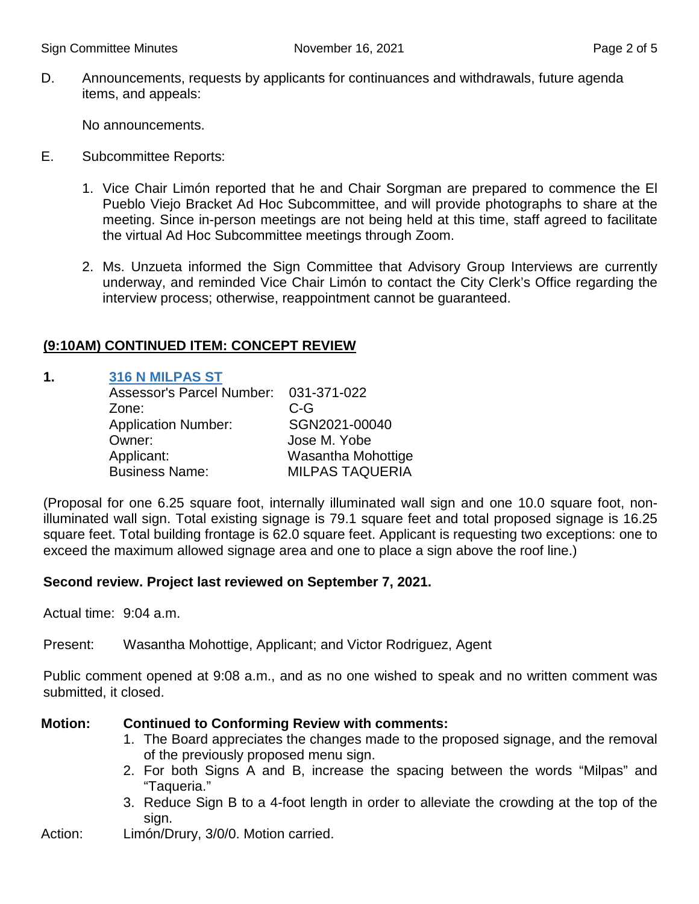D. Announcements, requests by applicants for continuances and withdrawals, future agenda items, and appeals:

No announcements.

- E. Subcommittee Reports:
	- 1. Vice Chair Limón reported that he and Chair Sorgman are prepared to commence the El Pueblo Viejo Bracket Ad Hoc Subcommittee, and will provide photographs to share at the meeting. Since in-person meetings are not being held at this time, staff agreed to facilitate the virtual Ad Hoc Subcommittee meetings through Zoom.
	- 2. Ms. Unzueta informed the Sign Committee that Advisory Group Interviews are currently underway, and reminded Vice Chair Limón to contact the City Clerk's Office regarding the interview process; otherwise, reappointment cannot be guaranteed.

#### **(9:10AM) CONTINUED ITEM: CONCEPT REVIEW**

#### **1. [316 N MILPAS ST](https://www.santabarbaraca.gov/civicax/filebank/blobdload.aspx?BlobID=241098)**

| Assessor's Parcel Number: 031-371-022 |                        |
|---------------------------------------|------------------------|
| Zone:                                 | $C-G$                  |
| <b>Application Number:</b>            | SGN2021-00040          |
| Owner:                                | Jose M. Yobe           |
| Applicant:                            | Wasantha Mohottige     |
| <b>Business Name:</b>                 | <b>MILPAS TAQUERIA</b> |

(Proposal for one 6.25 square foot, internally illuminated wall sign and one 10.0 square foot, nonilluminated wall sign. Total existing signage is 79.1 square feet and total proposed signage is 16.25 square feet. Total building frontage is 62.0 square feet. Applicant is requesting two exceptions: one to exceed the maximum allowed signage area and one to place a sign above the roof line.)

#### **Second review. Project last reviewed on September 7, 2021.**

Actual time: 9:04 a.m.

Present: Wasantha Mohottige, Applicant; and Victor Rodriguez, Agent

Public comment opened at 9:08 a.m., and as no one wished to speak and no written comment was submitted, it closed.

#### **Motion: Continued to Conforming Review with comments:**

- 1. The Board appreciates the changes made to the proposed signage, and the removal of the previously proposed menu sign.
- 2. For both Signs A and B, increase the spacing between the words "Milpas" and "Taqueria."
- 3. Reduce Sign B to a 4-foot length in order to alleviate the crowding at the top of the sign.

Action: Limón/Drury, 3/0/0. Motion carried.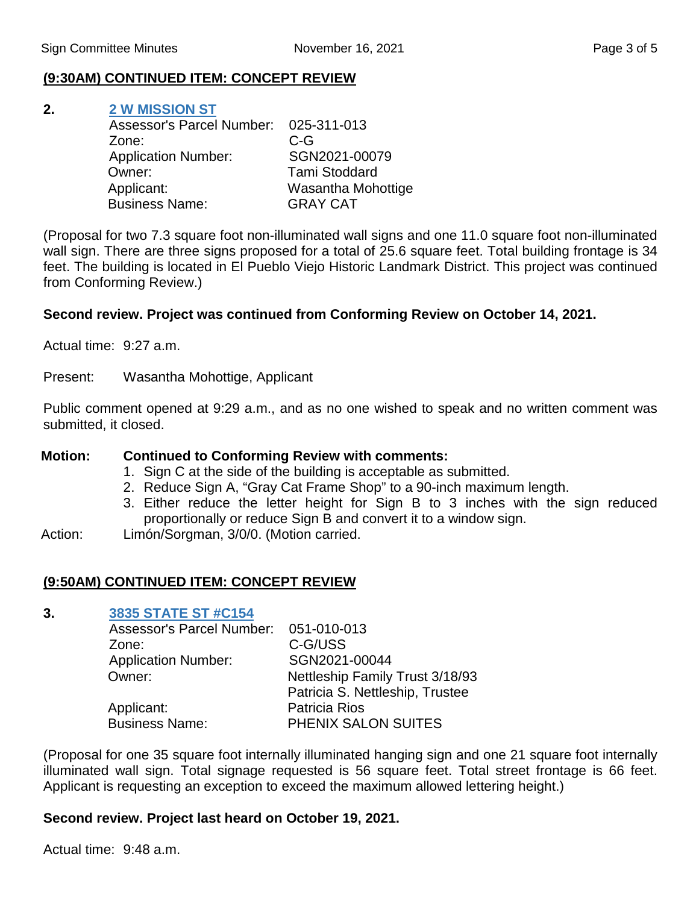#### **(9:30AM) CONTINUED ITEM: CONCEPT REVIEW**

#### **2. [2 W MISSION ST](https://www.santabarbaraca.gov/civicax/filebank/blobdload.aspx?BlobID=241099)**

| Assessor's Parcel Number: 025-311-013 |                      |
|---------------------------------------|----------------------|
| Zone:                                 | $C-G$                |
| <b>Application Number:</b>            | SGN2021-00079        |
| Owner:                                | <b>Tami Stoddard</b> |
| Applicant:                            | Wasantha Mohottige   |
| <b>Business Name:</b>                 | <b>GRAY CAT</b>      |

(Proposal for two 7.3 square foot non-illuminated wall signs and one 11.0 square foot non-illuminated wall sign. There are three signs proposed for a total of 25.6 square feet. Total building frontage is 34 feet. The building is located in El Pueblo Viejo Historic Landmark District. This project was continued from Conforming Review.)

#### **Second review. Project was continued from Conforming Review on October 14, 2021.**

Actual time: 9:27 a.m.

Present: Wasantha Mohottige, Applicant

Public comment opened at 9:29 a.m., and as no one wished to speak and no written comment was submitted, it closed.

#### **Motion: Continued to Conforming Review with comments:**

- 1. Sign C at the side of the building is acceptable as submitted.
- 2. Reduce Sign A, "Gray Cat Frame Shop" to a 90-inch maximum length.
- 3. Either reduce the letter height for Sign B to 3 inches with the sign reduced proportionally or reduce Sign B and convert it to a window sign.
- Action: Limón/Sorgman, 3/0/0. (Motion carried.

#### **(9:50AM) CONTINUED ITEM: CONCEPT REVIEW**

#### **3. [3835 STATE ST #C154](https://www.santabarbaraca.gov/civicax/filebank/blobdload.aspx?BlobID=241100)**

| Assessor's Parcel Number: 051-010-013 |                                        |
|---------------------------------------|----------------------------------------|
| Zone:                                 | C-G/USS                                |
| <b>Application Number:</b>            | SGN2021-00044                          |
| Owner:                                | <b>Nettleship Family Trust 3/18/93</b> |
|                                       | Patricia S. Nettleship, Trustee        |
| Applicant:                            | Patricia Rios                          |
| <b>Business Name:</b>                 | PHENIX SALON SUITES                    |

(Proposal for one 35 square foot internally illuminated hanging sign and one 21 square foot internally illuminated wall sign. Total signage requested is 56 square feet. Total street frontage is 66 feet. Applicant is requesting an exception to exceed the maximum allowed lettering height.)

#### **Second review. Project last heard on October 19, 2021.**

Actual time: 9:48 a.m.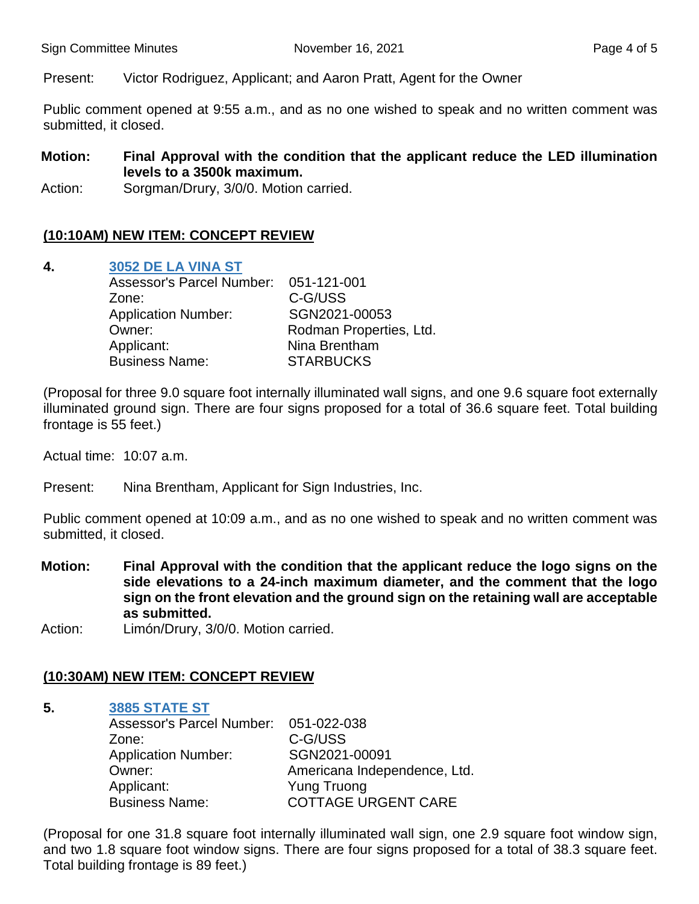Sign Committee Minutes November 16, 2021 Page 4 of 5

Present: Victor Rodriguez, Applicant; and Aaron Pratt, Agent for the Owner

Public comment opened at 9:55 a.m., and as no one wished to speak and no written comment was submitted, it closed.

## **Motion: Final Approval with the condition that the applicant reduce the LED illumination levels to a 3500k maximum.**

Action: Sorgman/Drury, 3/0/0. Motion carried.

## **(10:10AM) NEW ITEM: CONCEPT REVIEW**

## **4. [3052 DE LA VINA ST](https://www.santabarbaraca.gov/civicax/filebank/blobdload.aspx?BlobID=241101)**

| Assessor's Parcel Number: 051-121-001 |
|---------------------------------------|
| C-G/USS                               |
| SGN2021-00053                         |
| Rodman Properties, Ltd.               |
| Nina Brentham                         |
| <b>STARBUCKS</b>                      |
|                                       |

(Proposal for three 9.0 square foot internally illuminated wall signs, and one 9.6 square foot externally illuminated ground sign. There are four signs proposed for a total of 36.6 square feet. Total building frontage is 55 feet.)

Actual time: 10:07 a.m.

Present: Nina Brentham, Applicant for Sign Industries, Inc.

Public comment opened at 10:09 a.m., and as no one wished to speak and no written comment was submitted, it closed.

**Motion: Final Approval with the condition that the applicant reduce the logo signs on the side elevations to a 24-inch maximum diameter, and the comment that the logo sign on the front elevation and the ground sign on the retaining wall are acceptable as submitted.** 

Action: Limón/Drury, 3/0/0. Motion carried.

## **(10:30AM) NEW ITEM: CONCEPT REVIEW**

#### **5. [3885 STATE ST](https://www.santabarbaraca.gov/civicax/filebank/blobdload.aspx?BlobID=241102)**

| Assessor's Parcel Number: 051-022-038 |                              |
|---------------------------------------|------------------------------|
| Zone:                                 | C-G/USS                      |
| <b>Application Number:</b>            | SGN2021-00091                |
| Owner:                                | Americana Independence, Ltd. |
| Applicant:                            | <b>Yung Truong</b>           |
| <b>Business Name:</b>                 | <b>COTTAGE URGENT CARE</b>   |

(Proposal for one 31.8 square foot internally illuminated wall sign, one 2.9 square foot window sign, and two 1.8 square foot window signs. There are four signs proposed for a total of 38.3 square feet. Total building frontage is 89 feet.)